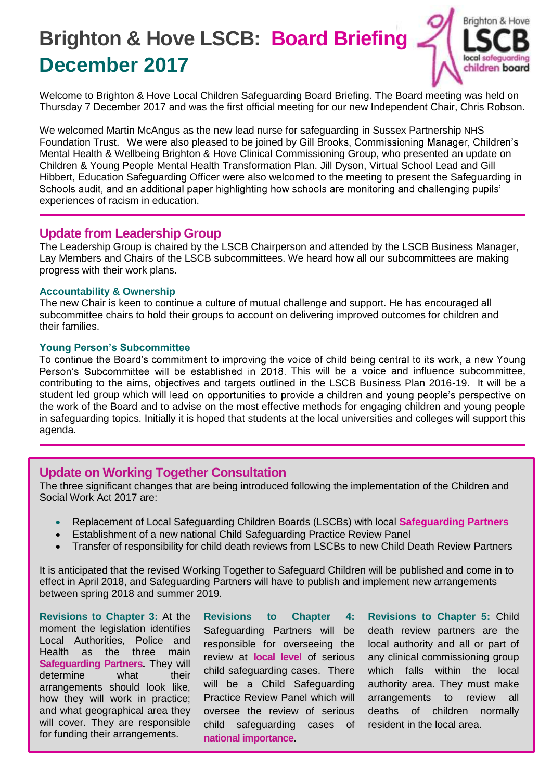# **Brighton & Hove LSCB: Board Briefing December 2017**



Welcome to Brighton & Hove Local Children Safeguarding Board Briefing. The Board meeting was held on Thursday 7 December 2017 and was the first official meeting for our new Independent Chair, Chris Robson.

We welcomed Martin McAngus as the new lead nurse for safeguarding in Sussex Partnership NHS Foundation Trust. We were also pleased to be joined by Gill Brooks, Commissioning Manager, Children's Mental Health & Wellbeing Brighton & Hove Clinical Commissioning Group, who presented an update on Children & Young People Mental Health Transformation Plan. Jill Dyson, Virtual School Lead and Gill Hibbert, Education Safeguarding Officer were also welcomed to the meeting to present the Safeguarding in Schools audit, and an additional paper highlighting how schools are monitoring and challenging pupils' experiences of racism in education.

## **Update from Leadership Group**

The Leadership Group is chaired by the LSCB Chairperson and attended by the LSCB Business Manager, Lay Members and Chairs of the LSCB subcommittees. We heard how all our subcommittees are making progress with their work plans.

#### **Accountability & Ownership**

The new Chair is keen to continue a culture of mutual challenge and support. He has encouraged all subcommittee chairs to hold their groups to account on delivering improved outcomes for children and their families.

### **Young Person's Subcommittee**

To continue the Board's commitment to improving the voice of child being central to its work, a new Young Person's Subcommittee will be established in 2018. This will be a voice and influence subcommittee, contributing to the aims, objectives and targets outlined in the LSCB Business Plan 2016-19. It will be a student led group which will lead on opportunities to provide a children and young people's perspective on the work of the Board and to advise on the most effective methods for engaging children and young people in safeguarding topics. Initially it is hoped that students at the local universities and colleges will support this agenda.

## **Update on Working Together Consultation**

The three significant changes that are being introduced following the implementation of the Children and Social Work Act 2017 are:

- Replacement of Local Safeguarding Children Boards (LSCBs) with local **Safeguarding Partners**
- Establishment of a new national Child Safeguarding Practice Review Panel
- Transfer of responsibility for child death reviews from LSCBs to new Child Death Review Partners

It is anticipated that the revised Working Together to Safeguard Children will be published and come in to effect in April 2018, and Safeguarding Partners will have to publish and implement new arrangements between spring 2018 and summer 2019.

**Revisions to Chapter 3:** At the moment the legislation identifies Local Authorities, Police and Health as the three main **Safeguarding Partners.** They will determine what their arrangements should look like, how they will work in practice; and what geographical area they will cover. They are responsible for funding their arrangements.

**Revisions to Chapter 4:**  Safeguarding Partners will be responsible for overseeing the review at **local level** of serious child safeguarding cases. There will be a Child Safeguarding Practice Review Panel which will oversee the review of serious child safeguarding cases of **national importance**.

**Revisions to Chapter 5:** Child death review partners are the local authority and all or part of any clinical commissioning group which falls within the local authority area. They must make arrangements to review all deaths of children normally resident in the local area.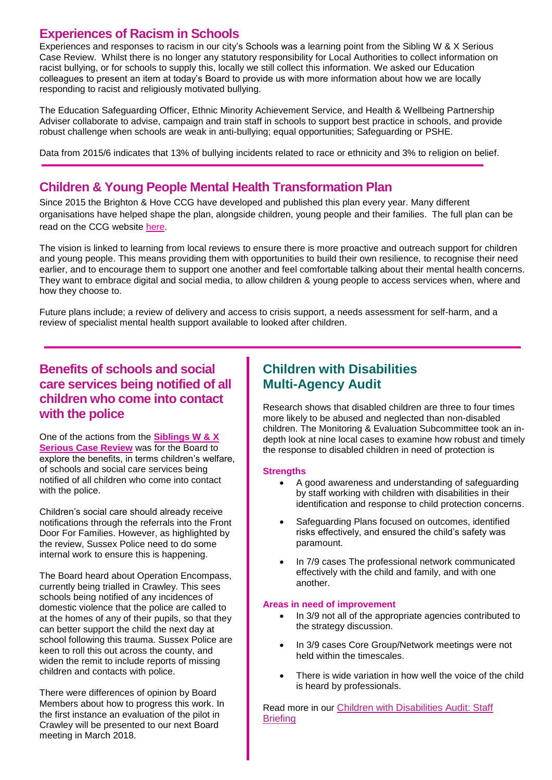# **Experiences of Racism in Schools**

Experiences and responses to racism in our city's Schools was a learning point from the Sibling W & X Serious Case Review. Whilst there is no longer any statutory responsibility for Local Authorities to collect information on racist bullying, or for schools to supply this, locally we still collect this information. We asked our Education colleagues to present an item at today's Board to provide us with more information about how we are locally responding to racist and religiously motivated bullying.

The Education Safeguarding Officer, Ethnic Minority Achievement Service, and Health & Wellbeing Partnership Adviser collaborate to advise, campaign and train staff in schools to support best practice in schools, and provide robust challenge when schools are weak in anti-bullying; equal opportunities; Safeguarding or PSHE.

Data from 2015/6 indicates that 13% of bullying incidents related to race or ethnicity and 3% to religion on belief.

# **Children & Young People Mental Health Transformation Plan**

Since 2015 the Brighton & Hove CCG have developed and published this plan every year. Many different organisations have helped shape the plan, alongside children, young people and their families. The full plan can be read on the CCG website [here.](https://www.brightonandhoveccg.nhs.uk/children-and-young-people%E2%80%99s-mental-health-and-wellbeing-transformation-planning)

The vision is linked to learning from local reviews to ensure there is more proactive and outreach support for children and young people. This means providing them with opportunities to build their own resilience, to recognise their need earlier, and to encourage them to support one another and feel comfortable talking about their mental health concerns. They want to embrace digital and social media, to allow children & young people to access services when, where and how they choose to.

Future plans include; a review of delivery and access to crisis support, a needs assessment for self-harm, and a review of specialist mental health support available to looked after children.

## **Benefits of schools and social care services being notified of all children who come into contact with the police**

One of the actions from the **[Siblings W & X](http://www.brightonandhovelscb.org.uk/serious-case-reviews-2/july-2017-siblings-wx/)  [Serious Case Review](http://www.brightonandhovelscb.org.uk/serious-case-reviews-2/july-2017-siblings-wx/)** was for the Board to explore the benefits, in terms children's welfare, of schools and social care services being notified of all children who come into contact with the police.

Children's social care should already receive notifications through the referrals into the Front Door For Families. However, as highlighted by the review, Sussex Police need to do some internal work to ensure this is happening.

The Board heard about Operation Encompass, currently being trialled in Crawley. This sees schools being notified of any incidences of domestic violence that the police are called to at the homes of any of their pupils, so that they can better support the child the next day at school following this trauma. Sussex Police are keen to roll this out across the county, and widen the remit to include reports of missing children and contacts with police.

There were differences of opinion by Board Members about how to progress this work. In the first instance an evaluation of the pilot in Crawley will be presented to our next Board meeting in March 2018.

# **Children with Disabilities Multi-Agency Audit**

Research shows that disabled children are three to four times more likely to be abused and neglected than non-disabled children. The Monitoring & Evaluation Subcommittee took an indepth look at nine local cases to examine how robust and timely the response to disabled children in need of protection is

#### **Strengths**

- A good awareness and understanding of safeguarding by staff working with children with disabilities in their identification and response to child protection concerns.
- Safeguarding Plans focused on outcomes, identified risks effectively, and ensured the child's safety was paramount.
- In 7/9 cases The professional network communicated effectively with the child and family, and with one another.

#### **Areas in need of improvement**

- In 3/9 not all of the appropriate agencies contributed to the strategy discussion.
- In 3/9 cases Core Group/Network meetings were not held within the timescales.
- There is wide variation in how well the voice of the child is heard by professionals.

Read more in our Children with [Disabilities](http://brightonandhovelscb.org.uk/wp-content/uploads/CDIS-AUDIT-BRIEFING.pdf) Audit: Staff **[Briefing](http://brightonandhovelscb.org.uk/wp-content/uploads/CDIS-AUDIT-BRIEFING.pdf)**